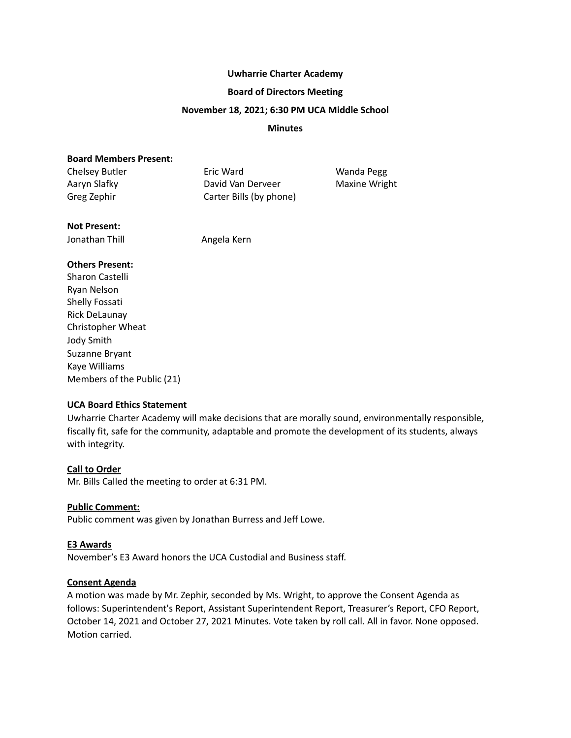#### **Uwharrie Charter Academy**

#### **Board of Directors Meeting**

#### **November 18, 2021; 6:30 PM UCA Middle School**

#### **Minutes**

# **Board Members Present:**

| Chelsey Butler | Eric Ward               | Wanda Pegg           |
|----------------|-------------------------|----------------------|
| Aaryn Slafky   | David Van Derveer       | <b>Maxine Wright</b> |
| Greg Zephir    | Carter Bills (by phone) |                      |

## **Not Present:**

Jonathan Thill **Angela Kern** 

## **Others Present:**

Sharon Castelli Ryan Nelson Shelly Fossati Rick DeLaunay Christopher Wheat Jody Smith Suzanne Bryant Kaye Williams Members of the Public (21)

# **UCA Board Ethics Statement**

Uwharrie Charter Academy will make decisions that are morally sound, environmentally responsible, fiscally fit, safe for the community, adaptable and promote the development of its students, always with integrity.

## **Call to Order**

Mr. Bills Called the meeting to order at 6:31 PM.

## **Public Comment:**

Public comment was given by Jonathan Burress and Jeff Lowe.

## **E3 Awards**

November's E3 Award honors the UCA Custodial and Business staff.

## **Consent Agenda**

A motion was made by Mr. Zephir, seconded by Ms. Wright, to approve the Consent Agenda as follows: Superintendent's Report, Assistant Superintendent Report, Treasurer's Report, CFO Report, October 14, 2021 and October 27, 2021 Minutes. Vote taken by roll call. All in favor. None opposed. Motion carried.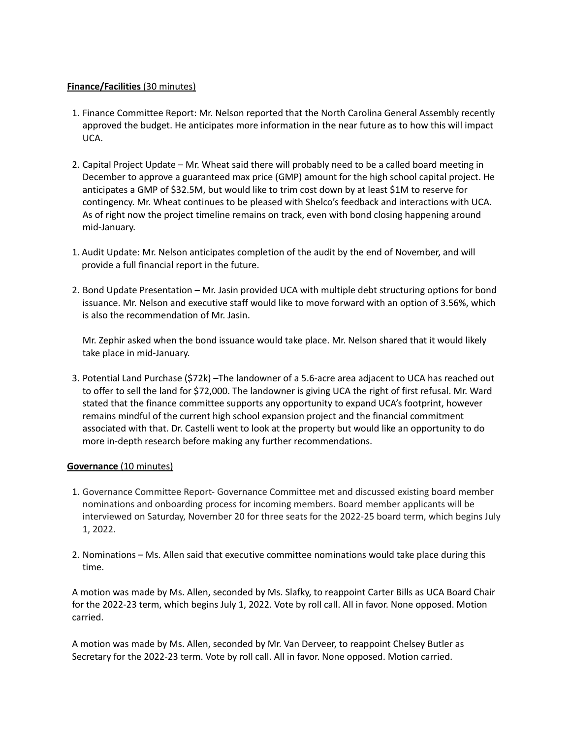# **Finance/Facilities** (30 minutes)

- 1. Finance Committee Report: Mr. Nelson reported that the North Carolina General Assembly recently approved the budget. He anticipates more information in the near future as to how this will impact UCA.
- 2. Capital Project Update Mr. Wheat said there will probably need to be a called board meeting in December to approve a guaranteed max price (GMP) amount for the high school capital project. He anticipates a GMP of \$32.5M, but would like to trim cost down by at least \$1M to reserve for contingency. Mr. Wheat continues to be pleased with Shelco's feedback and interactions with UCA. As of right now the project timeline remains on track, even with bond closing happening around mid-January.
- 1. Audit Update: Mr. Nelson anticipates completion of the audit by the end of November, and will provide a full financial report in the future.
- 2. Bond Update Presentation Mr. Jasin provided UCA with multiple debt structuring options for bond issuance. Mr. Nelson and executive staff would like to move forward with an option of 3.56%, which is also the recommendation of Mr. Jasin.

Mr. Zephir asked when the bond issuance would take place. Mr. Nelson shared that it would likely take place in mid-January.

3. Potential Land Purchase (\$72k) –The landowner of a 5.6-acre area adjacent to UCA has reached out to offer to sell the land for \$72,000. The landowner is giving UCA the right of first refusal. Mr. Ward stated that the finance committee supports any opportunity to expand UCA's footprint, however remains mindful of the current high school expansion project and the financial commitment associated with that. Dr. Castelli went to look at the property but would like an opportunity to do more in-depth research before making any further recommendations.

## **Governance** (10 minutes)

- 1. Governance Committee Report- Governance Committee met and discussed existing board member nominations and onboarding process for incoming members. Board member applicants will be interviewed on Saturday, November 20 for three seats for the 2022-25 board term, which begins July 1, 2022.
- 2. Nominations Ms. Allen said that executive committee nominations would take place during this time.

A motion was made by Ms. Allen, seconded by Ms. Slafky, to reappoint Carter Bills as UCA Board Chair for the 2022-23 term, which begins July 1, 2022. Vote by roll call. All in favor. None opposed. Motion carried.

A motion was made by Ms. Allen, seconded by Mr. Van Derveer, to reappoint Chelsey Butler as Secretary for the 2022-23 term. Vote by roll call. All in favor. None opposed. Motion carried.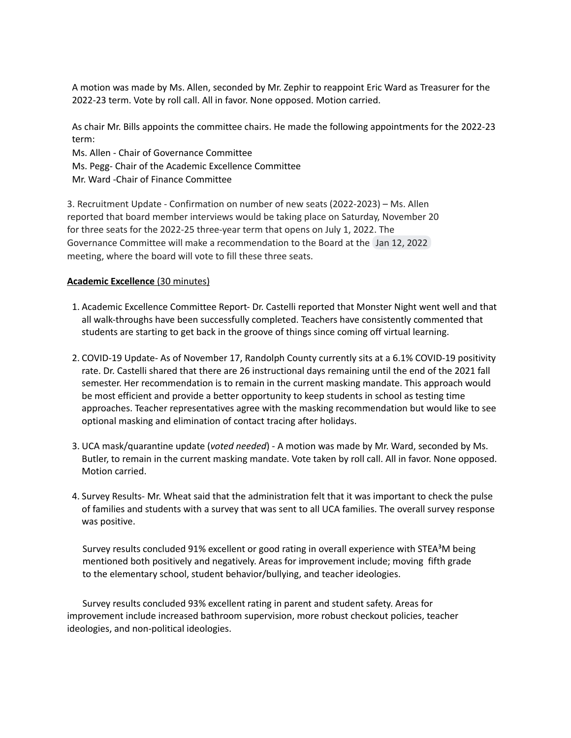A motion was made by Ms. Allen, seconded by Mr. Zephir to reappoint Eric Ward as Treasurer for the 2022-23 term. Vote by roll call. All in favor. None opposed. Motion carried.

As chair Mr. Bills appoints the committee chairs. He made the following appointments for the 2022-23 term:

Ms. Allen - Chair of Governance Committee

- Ms. Pegg- Chair of the Academic Excellence Committee
- Mr. Ward -Chair of Finance Committee

3. Recruitment Update - Confirmation on number of new seats (2022-2023) – Ms. Allen reported that board member interviews would be taking place on Saturday, November 20 for three seats for the 2022-25 three-year term that opens on July 1, 2022. The Governance Committee will make a recommendation to the Board at the Jan 12, 2022 meeting, where the board will vote to fill these three seats.

## **Academic Excellence** (30 minutes)

- 1. Academic Excellence Committee Report- Dr. Castelli reported that Monster Night went well and that all walk-throughs have been successfully completed. Teachers have consistently commented that students are starting to get back in the groove of things since coming off virtual learning.
- 2. COVID-19 Update- As of November 17, Randolph County currently sits at a 6.1% COVID-19 positivity rate. Dr. Castelli shared that there are 26 instructional days remaining until the end of the 2021 fall semester. Her recommendation is to remain in the current masking mandate. This approach would be most efficient and provide a better opportunity to keep students in school as testing time approaches. Teacher representatives agree with the masking recommendation but would like to see optional masking and elimination of contact tracing after holidays.
- 3. UCA mask/quarantine update (*voted needed*) A motion was made by Mr. Ward, seconded by Ms. Butler, to remain in the current masking mandate. Vote taken by roll call. All in favor. None opposed. Motion carried.
- 4. Survey Results- Mr. Wheat said that the administration felt that it was important to check the pulse of families and students with a survey that was sent to all UCA families. The overall survey response was positive.

Survey results concluded 91% excellent or good rating in overall experience with STEA<sup>3</sup>M being mentioned both positively and negatively. Areas for improvement include; moving fifth grade to the elementary school, student behavior/bullying, and teacher ideologies.

Survey results concluded 93% excellent rating in parent and student safety. Areas for improvement include increased bathroom supervision, more robust checkout policies, teacher ideologies, and non-political ideologies.